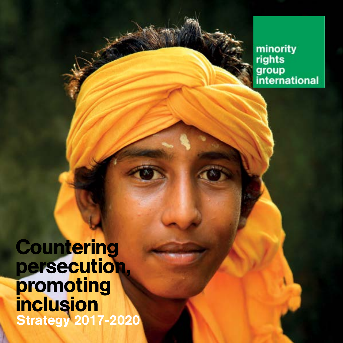minority rights group<br>international

**Countering** persecution, promoting inclusion Strategy 2017-2020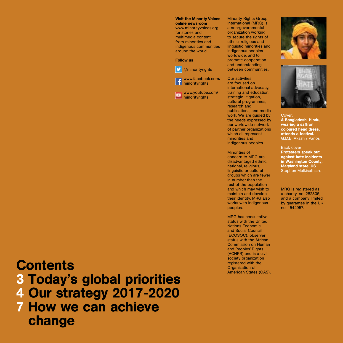#### Visit the Minority Voices online newsroom

www.minorityvoices.org for stories and multimedia content from minorities and indigenous communities around the world.

#### Follow us



**D** @minorityrights www.facebook.com/ **F** minorityrights

www.youtube.com/ **minorityrights** 

**Minority Rights Group** International (MRG) is a non-governmental organization working to secure the rights of ethnic, religious and linguistic minorities and indigenous peoples worldwide, and to promote cooperation and understanding between communities.

Our activities are focused on international advocacy, training and education, strategic litigation. cultural programmes, research and publications, and media work. We are guided by the needs expressed by our worldwide network of partner organizations which all represent minorities and indigenous peoples.

Minorities of concern to MRG are disadvantaged ethnic, national, religious, linguistic or cultural groups which are fewer in number than the rest of the population and which may wish to maintain and develop their identity. MRG also works with indigenous peoples.

MRG has consultative status with the United Nations Economic and Social Council (ECOSOC), observer status with the African Commission on Human and Peoples' Rights (ACHPR) and is a civil society organization registered with the<br>Organization of American States (OAS).





Cover: A Bangladeshi Hindu, wearing a saffron coloured head dress, attends a festival. G.M.B. Akash / Panos.

Back cover: Protesters speak out

against hate incidents in Washington County, Maryland state, US. Stephen Melkisethian.

MRG is registered as a charity, no. 282305, and a company limited by guarantee in the UK no. 1544957.

#### **Contents**

### 3 Today's global priorities

4 Our strategy 2017-2020

7 How we can achieve change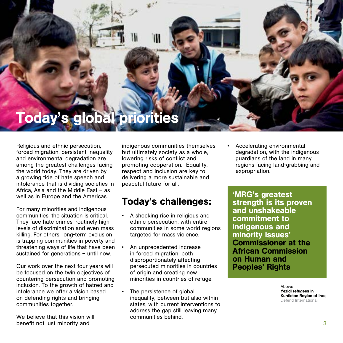## Today's global priorities

Religious and ethnic persecution, forced migration, persistent inequality and environmental degradation are among the greatest challenges facing the world today. They are driven by a growing tide of hate speech and intolerance that is dividing societies in Africa, Asia and the Middle East – as well as in Europe and the Americas.

For many minorities and indigenous communities, the situation is critical. They face hate crimes, routinely high levels of discrimination and even mass killing. For others, long-term exclusion is trapping communities in poverty and threatening ways of life that have been sustained for generations – until now.

Our work over the next four years will be focused on the twin objectives of countering persecution and promoting inclusion. To the growth of hatred and intolerance we offer a vision based on defending rights and bringing communities together.

We believe that this vision will benefit not just minority and 3

indigenous communities themselves but ultimately society as a whole, lowering risks of conflict and promoting cooperation. Equality, respect and inclusion are key to delivering a more sustainable and peaceful future for all.

#### Today's challenges:

- A shocking rise in religious and ethnic persecution, with entire communities in some world regions targeted for mass violence.
- An unprecedented increase in forced migration, both disproportionately affecting persecuted minorities in countries of origin and creating new minorities in countries of refuge.
- The persistence of global inequality, between but also within states, with current interventions to address the gap still leaving many communities behind.

• Accelerating environmental degradation, with the indigenous guardians of the land in many regions facing land-grabbing and expropriation.

'MRG's greatest strength is its proven and unshakeable commitment to indigenous and minority issues' Commissioner at the African Commission on Human and Peoples' Rights

> Above: Yezidi refugees in Kurdistan Region of Iraq. Defend International.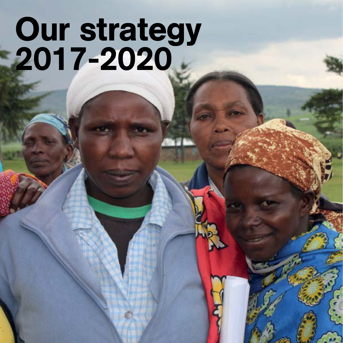# Our strategy 2017-2020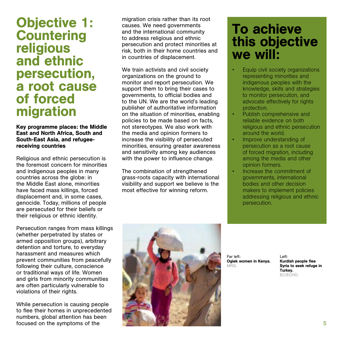### Objective 1: **Countering** religious and ethnic persecution, a root cause of forced migration

Key programme places: the Middle East and North Africa, South and South-East Asia, and refugeereceiving countries

Religious and ethnic persecution is the foremost concern for minorities and indigenous peoples in many countries across the globe: in the Middle East alone, minorities have faced mass killings, forced displacement and, in some cases, genocide. Today, millions of people are persecuted for their beliefs or their religious or ethnic identity.

Persecution ranges from mass killings (whether perpetrated by states or armed opposition groups), arbitrary detention and torture, to everyday harassment and measures which prevent communities from peacefully following their culture, conscience or traditional ways of life. Women and girls from minority communities are often particularly vulnerable to violations of their rights.

While persecution is causing people to flee their homes in unprecedented numbers, global attention has been focused on the symptoms of the

migration crisis rather than its root causes. We need governments and the international community to address religious and ethnic persecution and protect minorities at risk, both in their home countries and in countries of displacement.

We train activists and civil society organizations on the ground to monitor and report persecution. We support them to bring their cases to governments, to official bodies and to the UN. We are the world's leading publisher of authoritative information on the situation of minorities, enabling policies to be made based on facts, not stereotypes. We also work with the media and opinion formers to increase the visibility of persecuted minorities, ensuring greater awareness and sensitivity among key audiences with the power to influence change.

The combination of strengthened grass-roots capacity with international visibility and support we believe is the most effective for winning reform.

## To achieve this objective we will:

- Equip civil society organizations representing minorities and indigenous peoples with the knowledge, skills and strategies to monitor persecution, and advocate effectively for rights protection.
- Publish comprehensive and reliable evidence on both religious and ethnic persecution around the world.
- Improve understanding of persecution as a root cause of forced migration, including among the media and other opinion formers.
- Increase the commitment of governments, international bodies and other decision makers to implement policies addressing religious and ethnic persecution.



Far left: Ogiek women in Kenya. MRG.

Left: Kurdish people flee Syria to seek refuge in Turkey. EC/ECHO.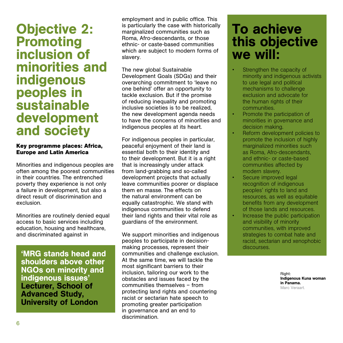#### Objective 2: Promoting inclusion of minorities and indigenous peoples in sustainable development and society

#### **Key programme places: Africa, Europe and Latin America**

Minorities and indigenous peoples are often among the poorest communities in their countries. The entrenched poverty they experience is not only a failure in development, but also a direct result of discrimination and exclusion.

Minorities are routinely denied equal access to basic services including education, housing and healthcare, and discriminated against in

'MRG stands head and shoulders above other NGOs on minority and indigenous issues' Lecturer, School of Advanced Study, University of London

employment and in public office. This is particularly the case with historically marginalized communities such as Roma, Afro-descendants, or those ethnic- or caste-based communities which are subject to modern forms of slavery.

The new global Sustainable Development Goals (SDGs) and their overarching commitment to 'leave no one behind' offer an opportunity to tackle exclusion. But if the promise of reducing inequality and promoting inclusive societies is to be realized, the new development agenda needs to have the concerns of minorities and indigenous peoples at its heart.

For indigenous peoples in particular, peaceful enjoyment of their land is essential both to their identity and to their development. But it is a right that is increasingly under attack from land-grabbing and so-called development projects that actually leave communities poorer or displace them en masse. The effects on the natural environment can be equally catastrophic. We stand with indigenous communities to defend their land rights and their vital role as guardians of the environment.

We support minorities and indigenous peoples to participate in decisionmaking processes, represent their communities and challenge exclusion. At the same time, we will tackle the most significant barriers to their inclusion, tailoring our work to the obstacles and issues faced by the communities themselves – from protecting land rights and countering racist or sectarian hate speech to promoting greater participation in governance and an end to discrimination.

## To achieve this objective we will:

- Strengthen the capacity of minority and indigenous activists to use legal and political mechanisms to challenge exclusion and advocate for the human rights of their communities.
- Promote the participation of minorities in governance and decision making.
- Reform development policies to promote the inclusion of highly marginalized minorities such as Roma, Afro-descendants, and ethnic- or caste-based communities affected by modern slavery.
- Secure improved legal recognition of indigenous peoples' rights to land and resources, as well as equitable benefits from any development of those lands and resources.
- Increase the public participation and visibility of minority communities, with improved strategies to combat hate and racist, sectarian and xenophobic discourses.

Right: Indigenous Kuna woman in Panama. Marc Veraart.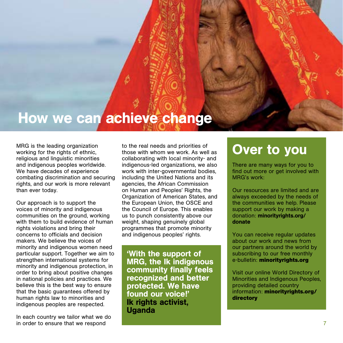# How we can achieve change

MRG is the leading organization working for the rights of ethnic. religious and linguistic minorities and indigenous peoples worldwide. We have decades of experience combating discrimination and securing rights, and our work is more relevant than ever today.

Our approach is to support the voices of minority and indigenous communities on the ground, working with them to build evidence of human rights violations and bring their concerns to officials and decision makers. We believe the voices of minority and indigenous women need particular support. Together we aim to strengthen international systems for minority and indigenous protection, in order to bring about positive changes in national policies and practices. We believe this is the best way to ensure that the basic quarantees offered by human rights law to minorities and indigenous peoples are respected.

In each country we tailor what we do in order to ensure that we respond

to the real needs and priorities of those with whom we work. As well as collaborating with local minority- and indigenous-led organizations, we also work with inter-governmental bodies, including the United Nations and its agencies, the African Commission on Human and Peoples' Rights, the Organization of American States, and the European Union, the OSCE and the Council of Europe. This enables us to punch consistently above our weight, shaping genuinely global programmes that promote minority and indigenous peoples' rights.

'With the support of MRG, the Ik indigenous community finally feels recognized and better protected. We have found our voice!' Ik rights activist, **Uganda** 

## Over to you

There are many ways for you to find out more or get involved with MRG's work:

Our resources are limited and are always exceeded by the needs of the communities we help. Please support our work by making a donation: minorityrights.org/ donate

You can receive regular updates about our work and news from our partners around the world by subscribing to our free monthly e-bulletin: **minorityrights.org**

Visit our online World Directory of Minorities and Indigenous Peoples, providing detailed country information: **minorityrights.org/ directory**